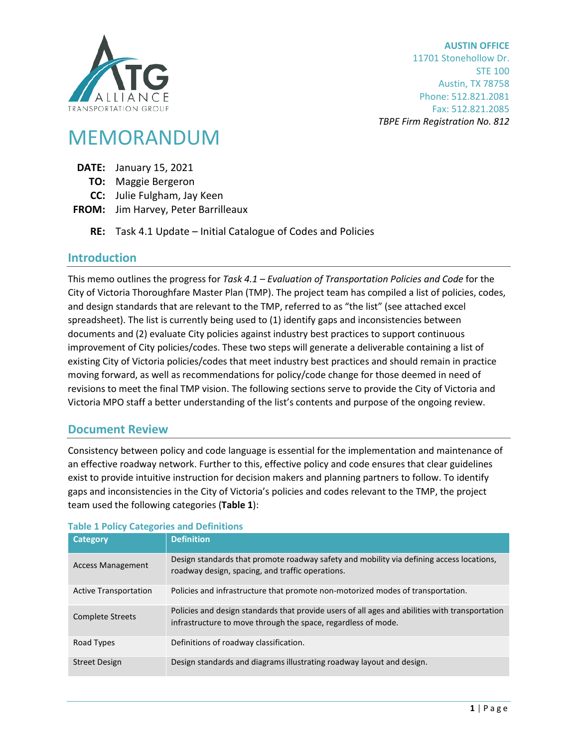

**AUSTIN OFFICE** 11701 Stonehollow Dr. STE 100 Austin, TX 78758 Phone: 512.821.2081 Fax: 512.821.2085 *TBPE Firm Registration No. 812*

# MEMORANDUM

- **DATE:** January 15, 2021
	- **TO:** Maggie Bergeron
	- **CC:** Julie Fulgham, Jay Keen
- **FROM:** Jim Harvey, Peter Barrilleaux
	- **RE:** Task 4.1 Update Initial Catalogue of Codes and Policies

# **Introduction**

This memo outlines the progress for *Task 4.1 – Evaluation of Transportation Policies and Code* for the City of Victoria Thoroughfare Master Plan (TMP). The project team has compiled a list of policies, codes, and design standards that are relevant to the TMP, referred to as "the list" (see attached excel spreadsheet). The list is currently being used to (1) identify gaps and inconsistencies between documents and (2) evaluate City policies against industry best practices to support continuous improvement of City policies/codes. These two steps will generate a deliverable containing a list of existing City of Victoria policies/codes that meet industry best practices and should remain in practice moving forward, as well as recommendations for policy/code change for those deemed in need of revisions to meet the final TMP vision. The following sections serve to provide the City of Victoria and Victoria MPO staff a better understanding of the list's contents and purpose of the ongoing review.

# **Document Review**

Consistency between policy and code language is essential for the implementation and maintenance of an effective roadway network. Further to this, effective policy and code ensures that clear guidelines exist to provide intuitive instruction for decision makers and planning partners to follow. To identify gaps and inconsistencies in the City of Victoria's policies and codes relevant to the TMP, the project team used the following categories (**[Table 1](#page-0-0)**):

| <b>Category</b>              | <b>Definition</b>                                                                                                                                               |  |  |  |  |
|------------------------------|-----------------------------------------------------------------------------------------------------------------------------------------------------------------|--|--|--|--|
| <b>Access Management</b>     | Design standards that promote roadway safety and mobility via defining access locations,<br>roadway design, spacing, and traffic operations.                    |  |  |  |  |
| <b>Active Transportation</b> | Policies and infrastructure that promote non-motorized modes of transportation.                                                                                 |  |  |  |  |
| <b>Complete Streets</b>      | Policies and design standards that provide users of all ages and abilities with transportation<br>infrastructure to move through the space, regardless of mode. |  |  |  |  |
| Road Types                   | Definitions of roadway classification.                                                                                                                          |  |  |  |  |
| <b>Street Design</b>         | Design standards and diagrams illustrating roadway layout and design.                                                                                           |  |  |  |  |

#### <span id="page-0-0"></span>**Table 1 Policy Categories and Definitions**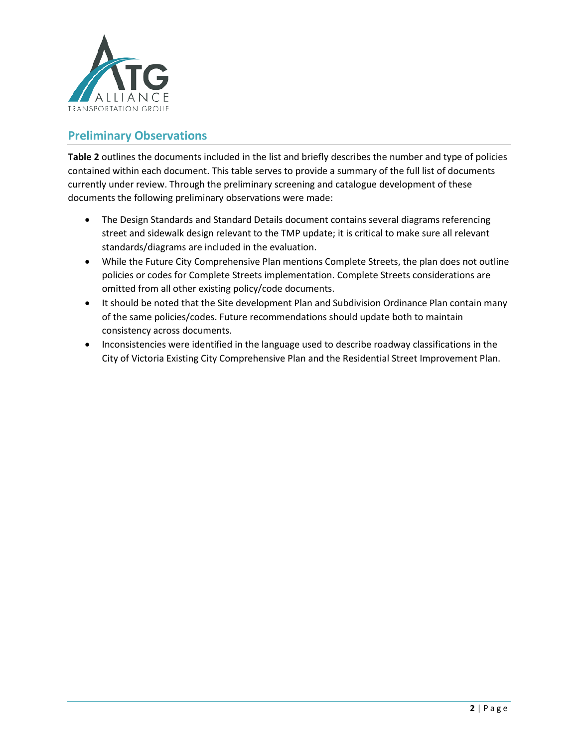

# **Preliminary Observations**

**[Table 2](#page-2-0)** outlines the documents included in the list and briefly describes the number and type of policies contained within each document. This table serves to provide a summary of the full list of documents currently under review. Through the preliminary screening and catalogue development of these documents the following preliminary observations were made:

- The Design Standards and Standard Details document contains several diagrams referencing street and sidewalk design relevant to the TMP update; it is critical to make sure all relevant standards/diagrams are included in the evaluation.
- While the Future City Comprehensive Plan mentions Complete Streets, the plan does not outline policies or codes for Complete Streets implementation. Complete Streets considerations are omitted from all other existing policy/code documents.
- It should be noted that the Site development Plan and Subdivision Ordinance Plan contain many of the same policies/codes. Future recommendations should update both to maintain consistency across documents.
- Inconsistencies were identified in the language used to describe roadway classifications in the City of Victoria Existing City Comprehensive Plan and the Residential Street Improvement Plan.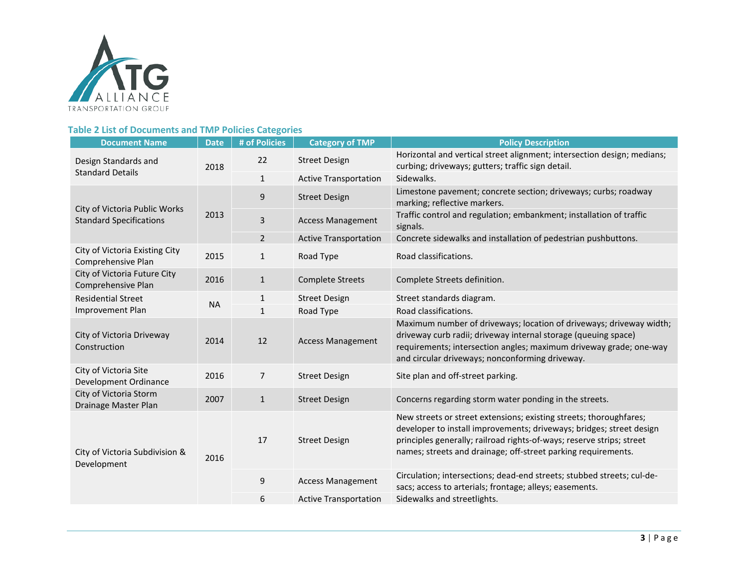

### **Table 2 List of Documents and TMP Policies Categories**

<span id="page-2-0"></span>

| <b>Document Name</b>                                            | <b>Date</b> | # of Policies  | <b>Category of TMP</b>       | <b>Policy Description</b>                                                                                                                                                                                                                                                            |
|-----------------------------------------------------------------|-------------|----------------|------------------------------|--------------------------------------------------------------------------------------------------------------------------------------------------------------------------------------------------------------------------------------------------------------------------------------|
| Design Standards and<br><b>Standard Details</b>                 | 2018        | 22             | <b>Street Design</b>         | Horizontal and vertical street alignment; intersection design; medians;<br>curbing; driveways; gutters; traffic sign detail.                                                                                                                                                         |
|                                                                 |             | $\mathbf{1}$   | <b>Active Transportation</b> | Sidewalks.                                                                                                                                                                                                                                                                           |
| City of Victoria Public Works<br><b>Standard Specifications</b> | 2013        | 9              | <b>Street Design</b>         | Limestone pavement; concrete section; driveways; curbs; roadway<br>marking; reflective markers.                                                                                                                                                                                      |
|                                                                 |             | 3              | <b>Access Management</b>     | Traffic control and regulation; embankment; installation of traffic<br>signals.                                                                                                                                                                                                      |
|                                                                 |             | $\overline{2}$ | <b>Active Transportation</b> | Concrete sidewalks and installation of pedestrian pushbuttons.                                                                                                                                                                                                                       |
| City of Victoria Existing City<br>Comprehensive Plan            | 2015        | $\mathbf{1}$   | Road Type                    | Road classifications.                                                                                                                                                                                                                                                                |
| City of Victoria Future City<br>Comprehensive Plan              | 2016        | $\mathbf{1}$   | <b>Complete Streets</b>      | Complete Streets definition.                                                                                                                                                                                                                                                         |
| <b>Residential Street</b><br>Improvement Plan                   | <b>NA</b>   | $\mathbf{1}$   | <b>Street Design</b>         | Street standards diagram.                                                                                                                                                                                                                                                            |
|                                                                 |             | $\mathbf{1}$   | Road Type                    | Road classifications.                                                                                                                                                                                                                                                                |
| City of Victoria Driveway<br>Construction                       | 2014        | 12             | <b>Access Management</b>     | Maximum number of driveways; location of driveways; driveway width;<br>driveway curb radii; driveway internal storage (queuing space)<br>requirements; intersection angles; maximum driveway grade; one-way<br>and circular driveways; nonconforming driveway.                       |
| City of Victoria Site<br>Development Ordinance                  | 2016        | $\overline{7}$ | <b>Street Design</b>         | Site plan and off-street parking.                                                                                                                                                                                                                                                    |
| City of Victoria Storm<br>Drainage Master Plan                  | 2007        | $\mathbf{1}$   | <b>Street Design</b>         | Concerns regarding storm water ponding in the streets.                                                                                                                                                                                                                               |
| City of Victoria Subdivision &<br>Development                   | 2016        | 17             | <b>Street Design</b>         | New streets or street extensions; existing streets; thoroughfares;<br>developer to install improvements; driveways; bridges; street design<br>principles generally; railroad rights-of-ways; reserve strips; street<br>names; streets and drainage; off-street parking requirements. |
|                                                                 |             | 9              | <b>Access Management</b>     | Circulation; intersections; dead-end streets; stubbed streets; cul-de-<br>sacs; access to arterials; frontage; alleys; easements.                                                                                                                                                    |
|                                                                 |             | 6              | <b>Active Transportation</b> | Sidewalks and streetlights.                                                                                                                                                                                                                                                          |